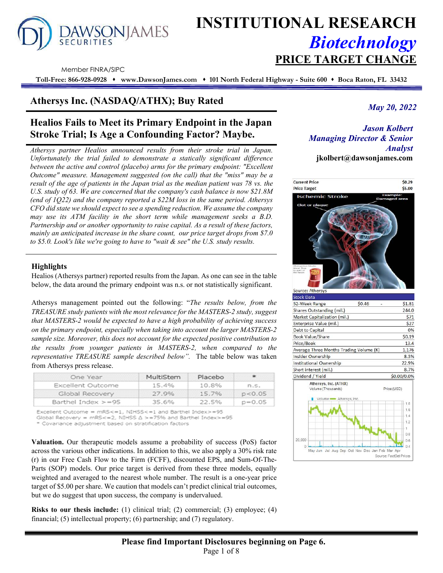

# **INSTITUTIONAL RESEARCH** *Biotechnology* **PRICE TARGET CHANGE**

Member FINRA/SIPC

**Toll-Free: 866-928-0928 www.DawsonJames.com 101 North Federal Highway - Suite 600 Boca Raton, FL 33432**

# **Athersys Inc. (NASDAQ/ATHX); Buy Rated**

# **Healios Fails to Meet its Primary Endpoint in the Japan Stroke Trial; Is Age a Confounding Factor? Maybe.**

*Athersys partner Healios announced results from their stroke trial in Japan. Unfortunately the trial failed to demonstrate a statically significant difference between the active and control (placebo) arms for the primary endpoint: "Excellent Outcome" measure. Management suggested (on the call) that the "miss" may be a result of the age of patients in the Japan trial as the median patient was 78 vs. the U.S. study of 63. We are concerned that the company's cash balance is now \$21.8M (end of 1Q22) and the company reported a \$22M loss in the same period. Athersys CFO did state we should expect to see a spending reduction. We assume the company may use its ATM facility in the short term while management seeks a B.D. Partnership and or another opportunity to raise capital. As a result of these factors, mainly an anticipated increase in the share count, our price target drops from \$7.0 to \$5.0. Look's like we're going to have to "wait & see" the U.S. study results.*

# **Highlights**

Healios (Athersys partner) reported results from the Japan. As one can see in the table below, the data around the primary endpoint was n.s. or not statistically significant.

Athersys management pointed out the following: "*The results below, from the TREASURE study patients with the most relevance for the MASTERS-2 study, suggest that MASTERS-2 would be expected to have a high probability of achieving success on the primary endpoint, especially when taking into account the larger MASTERS-2 sample size. Moreover, this does not account for the expected positive contribution to the results from younger patients in MASTERS-2, when compared to the representative TREASURE sample described below".* The table below was taken from Athersys press release.

| One Year                           | MultiStem | Placebo |            |
|------------------------------------|-----------|---------|------------|
| Excellent Outcome                  | 15.4%     | 10.8%   | n.s.       |
| Global Recovery 27.9% 15.7% p<0.05 |           |         |            |
| Barthel Index $> = 95$             | 35.6%     | 22.5%   | $p = 0.05$ |

Excellent Outcome = mRS<=1, NIHSS<=1 and Barthel Index>=95

Global Recovery =  $mRS \leq 2$ , NIHSS  $\Delta > = 75\%$  and Barthel Index>=95

\* Covariance adjustment based on stratification factors

**Valuation.** Our therapeutic models assume a probability of success (PoS) factor across the various other indications. In addition to this, we also apply a 30% risk rate (r) in our Free Cash Flow to the Firm (FCFF), discounted EPS, and Sum-Of-The-Parts (SOP) models. Our price target is derived from these three models, equally weighted and averaged to the nearest whole number. The result is a one-year price target of \$5.00 per share. We caution that models can't predict clinical trial outcomes, but we do suggest that upon success, the company is undervalued.

**Risks to our thesis include:** (1) clinical trial; (2) commercial; (3) employee; (4) financial; (5) intellectual property; (6) partnership; and (7) regulatory.

*May 20, 2022*

*Jason Kolbert Managing Director & Senior Analyst*  **jkolbert@dawsonjames.com** 

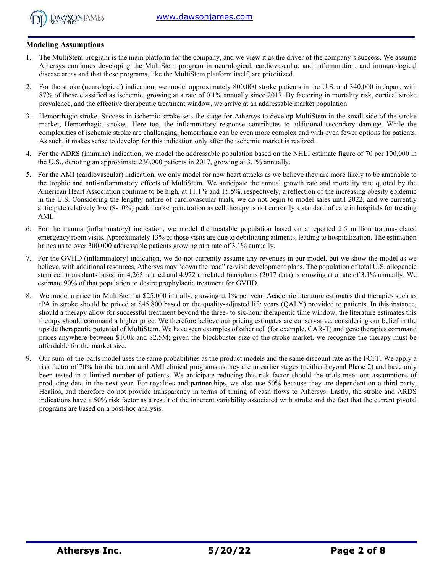

# **Modeling Assumptions**

- 1. The MultiStem program is the main platform for the company, and we view it as the driver of the company's success. We assume Athersys continues developing the MultiStem program in neurological, cardiovascular, and inflammation, and immunological disease areas and that these programs, like the MultiStem platform itself, are prioritized.
- 2. For the stroke (neurological) indication, we model approximately 800,000 stroke patients in the U.S. and 340,000 in Japan, with 87% of those classified as ischemic, growing at a rate of 0.1% annually since 2017. By factoring in mortality risk, cortical stroke prevalence, and the effective therapeutic treatment window, we arrive at an addressable market population.
- 3. Hemorrhagic stroke. Success in ischemic stroke sets the stage for Athersys to develop MultiStem in the small side of the stroke market, Hemorrhagic strokes. Here too, the inflammatory response contributes to additional secondary damage. While the complexities of ischemic stroke are challenging, hemorrhagic can be even more complex and with even fewer options for patients. As such, it makes sense to develop for this indication only after the ischemic market is realized.
- 4. For the ADRS (immune) indication, we model the addressable population based on the NHLI estimate figure of 70 per 100,000 in the U.S., denoting an approximate 230,000 patients in 2017, growing at 3.1% annually.
- 5. For the AMI (cardiovascular) indication, we only model for new heart attacks as we believe they are more likely to be amenable to the trophic and anti-inflammatory effects of MultiStem. We anticipate the annual growth rate and mortality rate quoted by the American Heart Association continue to be high, at 11.1% and 15.5%, respectively, a reflection of the increasing obesity epidemic in the U.S. Considering the lengthy nature of cardiovascular trials, we do not begin to model sales until 2022, and we currently anticipate relatively low (8-10%) peak market penetration as cell therapy is not currently a standard of care in hospitals for treating AMI.
- 6. For the trauma (inflammatory) indication, we model the treatable population based on a reported 2.5 million trauma-related emergency room visits. Approximately 13% of those visits are due to debilitating ailments, leading to hospitalization. The estimation brings us to over 300,000 addressable patients growing at a rate of 3.1% annually.
- 7. For the GVHD (inflammatory) indication, we do not currently assume any revenues in our model, but we show the model as we believe, with additional resources, Athersys may "down the road" re-visit development plans. The population of total U.S. allogeneic stem cell transplants based on 4,265 related and 4,972 unrelated transplants (2017 data) is growing at a rate of 3.1% annually. We estimate 90% of that population to desire prophylactic treatment for GVHD.
- 8. We model a price for MultiStem at \$25,000 initially, growing at 1% per year. Academic literature estimates that therapies such as tPA in stroke should be priced at \$45,800 based on the quality-adjusted life years (QALY) provided to patients. In this instance, should a therapy allow for successful treatment beyond the three- to six-hour therapeutic time window, the literature estimates this therapy should command a higher price. We therefore believe our pricing estimates are conservative, considering our belief in the upside therapeutic potential of MultiStem. We have seen examples of other cell (for example, CAR-T) and gene therapies command prices anywhere between \$100k and \$2.5M; given the blockbuster size of the stroke market, we recognize the therapy must be affordable for the market size.
- 9. Our sum-of-the-parts model uses the same probabilities as the product models and the same discount rate as the FCFF. We apply a risk factor of 70% for the trauma and AMI clinical programs as they are in earlier stages (neither beyond Phase 2) and have only been tested in a limited number of patients. We anticipate reducing this risk factor should the trials meet our assumptions of producing data in the next year. For royalties and partnerships, we also use 50% because they are dependent on a third party, Healios, and therefore do not provide transparency in terms of timing of cash flows to Athersys. Lastly, the stroke and ARDS indications have a 50% risk factor as a result of the inherent variability associated with stroke and the fact that the current pivotal programs are based on a post-hoc analysis.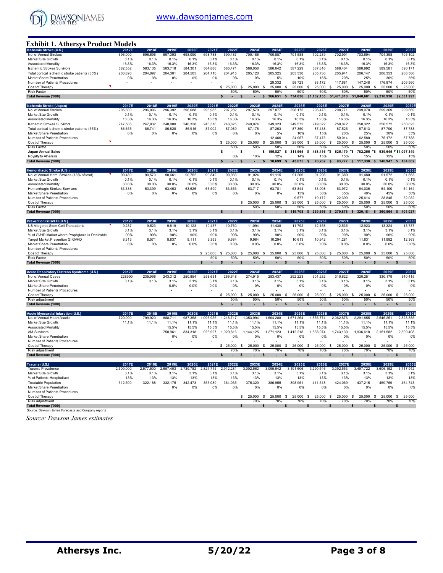

# **Exhibit 1. Athersys Product Models**

| <b>Ischemic Stroke (U.S.</b>                        | 2017E     | 2018E     | 2019E     | 2020E     | 2021E        | 2022E         | 2023E                   | 2024E                  |          | 2025E     | 2026E                   | 2027E                              | 2028E                                | 2029E                                | 2030E                    |
|-----------------------------------------------------|-----------|-----------|-----------|-----------|--------------|---------------|-------------------------|------------------------|----------|-----------|-------------------------|------------------------------------|--------------------------------------|--------------------------------------|--------------------------|
| No. of Annual Strokes                               | 696,000   | 696,696   | 697,393   | 698,090   | 698,788      | 699,487       | 700,186                 | 700,887                |          | 701,588   | 702,289                 | 702,991                            | 703,694                              | 704,398                              | 705,102                  |
| Market Size Growth                                  | 0.1%      | 0.1%      | 0.1%      | 0.1%      | 0.1%         | 0.1%          | 0.1%                    | 0.1%                   |          | 0.1%      | 0.1%                    | 0.1%                               | 0.1%                                 | 0.1%                                 | 0.1%                     |
| <b>Associated Mortality</b>                         | 16.3%     | 16.3%     | 16.3%     | 16.3%     | 16.3%        | 16.3%         | 16.3%                   | 16.3%                  |          | 16.3%     | 16.3%                   | 16.3%                              | 16.3%                                | 16.3%                                | 16.3%                    |
| <b>Ischemic Strokes Survivors</b>                   | 582,552   | 583,135   | 583,718   | 584,301   | 584,886      | 585,471       | 586,056                 | 586,642                |          | 587,229   | 587,816                 | 588,404                            | 588,992                              | 589,581                              | 590,171                  |
|                                                     |           |           |           |           |              |               |                         |                        |          |           |                         |                                    |                                      |                                      |                          |
| Total cortical ischemic stroke patients (35%)       | 203,893   | 204,097   | 204,301   | 204,505   | 204,710      | 204,915       | 205,120                 | 205,325                |          | 205,530   | 205,736                 | 205.941                            | 206.147                              | 206.353                              | 206.560                  |
| Market Share Penetration                            | 0%        | 0%        | 0%        | 0%        | 0%           | 0%            | 0%                      | 5%                     |          | 10%       | 15%                     | 20%                                | 25%                                  | 30%                                  | 35%                      |
| Number of Patients Procedures                       |           |           |           |           |              |               |                         | 29,332                 |          | 58,723    | 88.172                  | 117.681                            | 147,248                              | 176,874                              | 206,560                  |
| Cost of Therapy                                     |           |           |           |           |              | 25,000<br>\$. | 25.000<br><sup>\$</sup> | \$<br>25.000           | \$       | 25,000    | 25,000<br>\$            | \$.<br>25.000                      | 25,000<br>S                          | 25.000<br>S                          | 25,000<br>\$             |
| Risk Factor                                         |           |           |           |           |              | 50%           | 50%                     | 50%                    |          | 50%       | 50%                     | 50%                                | 50%                                  | 50%                                  | 50%                      |
| Total Revenue ('000)                                |           |           |           |           |              |               |                         | 366.651                |          | 734,036   | 1.102.155               | 1.471.010                          | 1.840.601                            | \$2.210.930                          | \$2,581,997              |
|                                                     |           |           |           |           |              |               |                         |                        |          |           |                         |                                    |                                      |                                      |                          |
| <b>Ischemic Stroke (Japan)</b>                      | 2017E     | 2018E     | 2019E     | 2020E     | 2021E        | 2022E         | 2023E                   | 2024E                  |          | 2025E     | 2026E                   | 2027E                              | 2028E                                | 2029E                                | 2030E                    |
| No. of Annual Strokes                               | 295.800   | 296.096   | 296.392   | 296.688   | 296.985      | 297.282       | 297,579                 | 297,877                |          | 298,175   | 298,473                 | 298.771                            | 299,070                              | 299.369                              | 299,669                  |
| Market Size Growth                                  | 0.1%      | 0.1%      | 0.1%      | 0.1%      | 0.1%         | 0.1%          | 0.1%                    | 0.1%                   |          | 0.1%      | 0.1%                    | 0.1%                               | 0.1%                                 | 0.1%                                 | 0.1%                     |
|                                                     |           |           |           |           |              |               |                         |                        |          |           |                         |                                    |                                      |                                      |                          |
| <b>Associated Mortality</b>                         | 16.3%     | 16.3%     | 16.3%     | 16.3%     | 16.3%        | 16.3%         | 16.3%                   | 16.3%                  |          | 16.3%     | 16.3%                   | 16.3%                              | 16.3%                                | 16.3%                                | 16.3%                    |
| <b>Ischemic Strokes Survivors</b>                   | 247,585   | 247,832   | 248,080   | 248,328   | 248,576      | 248,825       | 249,074                 | 249.323                |          | 249,572   | 249,822                 | 250,072                            | 250.322                              | 250,572                              | 250,823                  |
| Total cortical ischemic stroke patients (35%)       | 86,655    | 86,741    | 86,828    | 86,915    | 87,002       | 87,089        | 87.176                  | 87.263                 |          | 87,350    | 87,438                  | 87,525                             | 87,613                               | 87,700                               | 87,788                   |
| Market Share Penetration                            | 0%        | 0%        | 0%        | 0%        | 0%           | 0%            | 0%                      | 5%                     |          | 10%       | 15%                     | 20%                                | 25%                                  | 30%                                  | 35%                      |
| Number of Patients Procedures                       |           |           |           |           |              |               |                         | 12,466                 |          | 24,957    | 37,473                  | 50,014                             | 62,580                               | 75,172                               | 87,788                   |
| Cost of Therapy                                     |           |           |           |           |              | 25,000<br>\$  | \$<br>25,000            | \$<br>25,000           | \$       | 25,000    | \$<br>25,000            | \$<br>25,000                       | \$<br>25,000                         | \$<br>25,000                         | \$<br>25,000             |
| <b>Risk Factor</b>                                  |           |           |           |           |              | 50%           | 50%                     | 50%                    |          | 50%       | 50%                     | 50%                                | 50%                                  | 50%                                  | 50%                      |
| <b>Japan Annual Sales</b>                           |           |           |           |           |              | \$            | s                       | \$<br>155.827          | \$       | 311.965   | 468,416<br><b>s</b>     | $\mathbf{r}_\mathbf{S}$<br>625.179 | $\mathbf{r}_{\mathsf{S}}$<br>782.255 | $\mathbf{r}_{\mathsf{S}}$<br>939.645 | "\$1.097.349             |
| Royalty to Athers ys                                |           |           |           |           |              | 8%            | 10%                     | 12%                    |          | 14%       | 15%                     | 15%                                | 15%                                  | 15%                                  | 15%                      |
|                                                     |           |           |           |           |              |               |                         |                        |          |           |                         |                                    |                                      |                                      |                          |
| Total Revenue ('000)                                |           |           |           |           |              |               |                         | 18,699                 |          | 43,675    | 70,262                  | 93,777                             | 117,338                              | 140,947                              | 164,602<br>$\mathbf{s}$  |
|                                                     |           |           |           |           |              |               |                         |                        |          |           |                         |                                    |                                      |                                      |                          |
| Hemorrhagic Stroke (U.S.)                           | 2017E     | 2018E     | 2019E     | 2020E     | 2021E        | 2022E         | 2023E                   | 2024E                  |          | 2025E     | 2026E                   | 2027E                              | 2028E                                | 2029E                                | 2030E                    |
| No. of Annual Hem. Strokes (13% of total)           | 90.480    | 90,570    | 90,661    | 90,752    | 90,842       | 90,933        | 91,024                  | 91,115                 |          | 91,206    | 91,298                  | 91,389                             | 91,480                               | 91,572                               | 91,663                   |
| Market Size Growth                                  | 0.1%      | 0.1%      | 0.1%      | 0.1%      | 0.1%         | 0.1%          | 0.1%                    | 0.1%                   |          | 0.1%      | 0.1%                    | 0.1%                               | 0.1%                                 | 0.1%                                 | 0.1%                     |
| <b>Associated Mortality</b>                         | 30.0%     | 30.0%     | 30.0%     | 30.0%     | 30.0%        | 30.0%         | 30.0%                   | 30.0%                  |          | 30.0%     | 30.0%                   | 30.0%                              | 30.0%                                | 30.0%                                | 30.0%                    |
| Hemorrhagic Strokes Survivors                       | 63,336    | 63,399    | 63,463    | 63,526    | 63,590       | 63,653        | 63,717                  | 63,781                 |          | 63,844    | 63,908                  | 63,972                             | 64,036                               | 64,100                               | 64,164                   |
| Market Share Penetration                            | 0%        | 0%        | 0%        | 0%        | 0%           | 0%            | 0%                      | 0%                     |          | 15%       | 30%                     | 35%                                | 40%                                  | 45%                                  | 50%                      |
| Number of Patients Procedures                       |           |           |           |           |              |               |                         |                        |          | 9,577     | 19,172                  | 22,390                             | 25,614                               | 28,845                               | 32,082                   |
|                                                     |           |           |           |           |              |               |                         |                        |          |           |                         |                                    |                                      |                                      |                          |
| Cost of Therapy                                     |           |           |           |           |              |               | 25,000<br>s             | 25,000<br>- S          | <b>S</b> | 25,000    | 25,000<br>s             | 25,000<br>S                        | 25,000<br>\$                         | 25,000<br>\$                         | 25,000<br>\$             |
| <b>Risk Factor</b>                                  |           |           |           |           |              |               | 50%                     | 50%                    |          | 50%       | 50%                     | 50%                                | 50%                                  | 50%                                  | 50%                      |
| Total Revenue ('000)                                |           |           |           |           |              | \$<br>$\sim$  | <b>s</b><br>÷.          | ÷                      | \$       | 119,708   | 239,656<br>$\mathbf{s}$ | 279,878<br>$\mathbf{s}$            | 320,181<br>$\mathbf{s}$              | 360,564<br>\$                        | 401,027<br>$\mathbf{s}$  |
|                                                     |           |           |           |           |              |               |                         |                        |          |           |                         |                                    |                                      |                                      |                          |
| Prevention GI GVHD (U.S.)                           | 2017E     | 2018E     | 2019E     | 2020E     | 2021E        | 2022E         | 2023E                   | 2024E                  |          | 2025E     | 2026E                   | 2027E                              | 2028E                                | 2029E                                | 2030E                    |
| US Allogenic Stem Cell Transplants                  | 9,237     | 9,523     | 9,819     | 10,123    | 10,437       | 10,760        | 11,094                  | 11,438                 |          | 11,792    | 12,158                  | 12,535                             | 12,923                               | 13,324                               | 13,737                   |
| Market Size Growth                                  | 3.1%      | 3.1%      | 3.1%      | 3.1%      | 3.1%         | 3.1%          | 3.1%                    | 3.1%                   |          | 3.1%      | 3.1%                    | 3.1%                               | 3.1%                                 | 3.1%                                 | 3.1%                     |
| % of GVHD Market where Prophylaxis is Desirable     | 90%       | 90%       | 90%       | 90%       | 90%          | 90%           | 90%                     | 90%                    |          | 90%       | 90%                     | 90%                                | 90%                                  | 90%                                  | 90%                      |
| Target Market Prevention GI GVHD                    | 8,313     | 8,571     | 8,837     | 9,111     | 9,393        | 9,684         | 9,984                   | 10,294                 |          | 10,613    | 10,942                  | 11,281                             | 11,631                               | 11,992                               | 12,363                   |
|                                                     |           |           |           |           |              |               |                         |                        |          |           |                         |                                    |                                      |                                      |                          |
| Market Share Penetration                            | 0%        | 0%        | 0%        | 0.0%      | 0.0%         | 0.0%          | 0.0%                    | 0.0%                   |          | 0.0%      | 0.0%                    | 0.0%                               | 0.0%                                 | 0.0%                                 | 0.0%                     |
| Number of Patients Procedures                       |           |           |           |           |              |               |                         |                        |          |           |                         |                                    |                                      |                                      |                          |
| Cost of Therapy                                     |           |           |           |           | \$<br>25,000 | \$<br>25,000  | 25,000<br>s             | 25,000<br>s            | S        | 25,000    | S<br>25,000             | S<br>25,000                        | 25,000<br>S                          | 25,000<br>\$                         | \$<br>25,000             |
| <b>Risk Factor</b>                                  |           |           |           |           | 50%          | 50%           | 50%                     | 50%                    |          | 50%       | 50%                     | 50%                                | 50%                                  | 50%                                  | 50%                      |
| Total Revenue ('000)                                |           |           |           |           | $\sim$       | ٠             | ٠                       | ٠                      |          | ٠         | ٠                       | ٠                                  | ٠                                    | ٠                                    | $\sim$                   |
|                                                     |           |           |           |           |              |               |                         |                        |          |           |                         |                                    |                                      |                                      |                          |
| Acute Respiratory Distress Syndrome (U.S.           | 2017E     | 2018E     | 2019E     | 2020E     | 2021E        | 2022E         | 2023E                   | 2024E                  |          | 2025E     | 2026E                   | 2027E                              | 2028E                                | 2029E                                | 2030E                    |
| No. of Annual Cases                                 | 228900    | 235,996   | 243,312   | 250,854   | 258,631      | 266,648       | 274,915                 | 283,437                |          | 292,223   | 301,282                 | 310,622                            | 320,251                              | 330,179                              | 340,415                  |
| Market Size Growth                                  | 3.1%      | 3.1%      | 3.1%      | 3.1%      | 3.1%         | 3.1%          | 3.1%                    | 3.1%                   |          | 3.1%      | 3.1%                    | 3.1%                               | 3.1%                                 | 3.1%                                 | 3.1%                     |
| Market Share Penetration                            |           |           | 0.0%      | 0.0%      | 0.0%         | 0%            | 0%                      |                        |          | 0%        | 0%                      | 0%                                 | 0%                                   | 0%                                   | 0%                       |
|                                                     |           |           |           |           |              |               |                         | 0%                     |          |           |                         |                                    |                                      |                                      |                          |
| Number of Patients Procedures                       |           |           |           |           |              |               |                         |                        |          |           |                         |                                    |                                      |                                      |                          |
| Cost of Therapy                                     |           |           |           |           |              | 25,000<br>\$  | s<br>25,000             | \$<br>25,000           | S        | 25,000    | \$<br>25,000            | \$<br>25,000                       | $\mathfrak{s}$<br>25,000             | 25,000<br>\$                         | $\mathfrak{s}$<br>25,000 |
| Risk adjustment                                     |           |           |           |           |              | 50%           | 50%                     | 50%                    |          | 50%       | 50%                     | 50%                                | 50%                                  | 50%                                  | 50%                      |
| Total Revenue ('000)                                |           |           |           |           |              |               | ٠                       | ٠                      |          | ٠         | ٠                       | ٠                                  | ٠                                    | ٠                                    | ٠                        |
|                                                     |           |           |           |           |              |               |                         |                        |          |           |                         |                                    |                                      |                                      |                          |
| Acute Myocardial Infarction (U.S.                   | 2017E     | 2018E     | 2019E     | 2020E     | 2021E        | 2022E         | 2023E                   | 2024E                  |          | 2025E     | 2026E                   | 2027E                              | 2028E                                | 2029E                                | 2030E                    |
| No. of Annual Heart Attacks                         | 720,000   | 799,920   | 888,711   | 987,358   | 1,096,955    | 1,218,717     | 1,353,994               | 1,504,288              |          | 1,671,264 | 1,856,774               | 2,062,876                          | 2,291,855                            | 2,546,251                            | 2,828,885                |
| Market Size Growth                                  | 11.1%     | 11.1%     | 11.1%     | 11.1%     | 11.1%        | 11.1%         | 11.1%                   | 11.1%                  |          | 11.1%     | 11.1%                   | 11.1%                              | 11.1%                                | 11.1%                                | 11.1%                    |
| <b>Associated Mortality</b>                         |           |           | 15.5%     | 15.5%     | 15.5%        | 15.5%         | 15.5%                   | 15.5%                  |          | 15.5%     | 15.5%                   | 15.5%                              | 15.5%                                | 15.5%                                | 15.5%                    |
| <b>AMI Survivors</b>                                |           |           | 750,961   | 834,318   | 926,927      | 1,029,816     | 1,144,125               | 1,271,123              |          | 1,412,218 | 1,568,974               | 1,743,130                          | 1,936,618                            | 2,151,582                            | 2,390,408                |
|                                                     |           |           |           |           |              |               |                         |                        |          |           |                         |                                    |                                      |                                      |                          |
| Market Share Penetration                            |           |           | 0%        | 0%        | 0%           | 0%            | 0%                      | 0%                     |          | 0%        | 0%                      | 0%                                 | 0%                                   | 0%                                   | 0%                       |
| Number of Patients Procedures                       |           |           |           |           |              |               |                         |                        |          |           |                         |                                    |                                      |                                      |                          |
| Cost of Therapy                                     |           |           |           |           |              | 25,000<br>\$  | <b>s</b><br>25,000      | 25,000<br><b>S</b>     | <b>S</b> | 25,000    | 25,000<br>-S            | 25,000<br>-S                       | 25,000<br>- \$                       | 25,000<br>\$                         | 25,000<br><b>S</b>       |
| Risk adjustment                                     |           |           |           |           |              | 70%           | 70%                     | 70%                    |          | 70%       | 70%                     | 70%                                | 70%                                  | 70%                                  | 70%                      |
| Total Revenue ('000)                                |           |           |           |           |              |               | ä,                      | ٠                      |          | ä,        |                         | ÷,                                 | ٠                                    |                                      |                          |
|                                                     |           |           |           |           |              |               |                         |                        |          |           |                         |                                    |                                      |                                      |                          |
| Trauma (U.S.)                                       | 2017E     | 2018E     | 2019E     | 2020E     | 2021E        | 2022E         | 2023E                   | 2024E                  |          | 2025E     | 2026E                   | 2027E                              | 2028E                                | 2029E                                | 2030E                    |
| Trauma Prevalence                                   | 2.500.000 | 2,577,500 | 2,657,403 | 2,739,782 | 2,824,715    | 2.912.281     | 3,002,562               | 3,095,642              |          | 3,191,606 | 3,290,546               | 3,392,553                          | 3,497,722                            | 3,606,152                            | 3,717,942                |
| Market Size Growth                                  | 3.1%      | 3.1%      | 3.1%      | 3.1%      | 3.1%         | 3.1%          | 3.1%                    | 3.1%                   |          | 3.1%      | 3.1%                    | 3.1%                               | 3.1%                                 | 3.1%                                 | 3.1%                     |
| % of Patients Hospitalized                          | 13%       | 13%       | 13%       | 13%       | 13%          | 13%           | 13%                     | 13%                    |          | 13%       | 13%                     | 13%                                | 13%                                  | 13%                                  | 13%                      |
|                                                     |           |           |           |           |              |               |                         |                        |          |           |                         |                                    |                                      |                                      |                          |
| Treatable Population                                | 312,500   | 322,188   | 332,175   | 342,473   | 353,089      | 364,035       | 375,320                 | 386,955                |          | 398,951   | 411,318                 | 424,069                            | 437,215                              | 450,769                              | 464,743                  |
| Market Share Penetration                            |           |           | 0%        | 0%        | 0%           | 0%            | 0%                      | 0%                     |          | 0%        | 0%                      | 0%                                 | 0%                                   | 0%                                   | 0%                       |
| Number of Patients Procedures                       |           |           |           |           |              |               |                         |                        |          |           |                         |                                    |                                      |                                      |                          |
| Cost of Therapy                                     |           |           |           |           |              |               | \$<br>25.000            | <sup>S</sup><br>25,000 | \$       | 25,000    | \$<br>25,000            | <sup>S</sup><br>25,000             | $\mathfrak{s}$<br>25,000             | $\mathbf{s}$<br>25,000               | \$<br>25,000             |
| Risk adjustment                                     |           |           |           |           |              |               | 70%                     | 70%                    |          | 70%       | 70%                     | 70%                                | 70%                                  | 70%                                  | 70%                      |
| Total Revenue ('000)                                |           |           |           |           |              |               |                         |                        |          |           |                         |                                    |                                      |                                      |                          |
| Source: Daw son James Forecasts and Company reports |           |           |           |           |              |               |                         |                        |          |           |                         |                                    |                                      |                                      |                          |
|                                                     |           |           |           |           |              |               |                         |                        |          |           |                         |                                    |                                      |                                      |                          |

*Source: Dawson James estimates*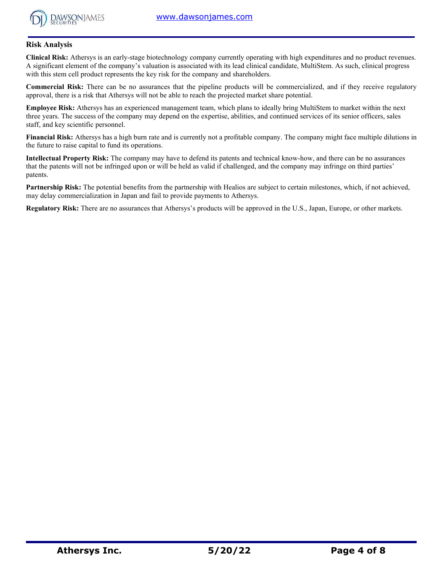

# **Risk Analysis**

**Clinical Risk:** Athersys is an early-stage biotechnology company currently operating with high expenditures and no product revenues. A significant element of the company's valuation is associated with its lead clinical candidate, MultiStem. As such, clinical progress with this stem cell product represents the key risk for the company and shareholders.

**Commercial Risk:** There can be no assurances that the pipeline products will be commercialized, and if they receive regulatory approval, there is a risk that Athersys will not be able to reach the projected market share potential.

**Employee Risk:** Athersys has an experienced management team, which plans to ideally bring MultiStem to market within the next three years. The success of the company may depend on the expertise, abilities, and continued services of its senior officers, sales staff, and key scientific personnel.

**Financial Risk:** Athersys has a high burn rate and is currently not a profitable company. The company might face multiple dilutions in the future to raise capital to fund its operations.

**Intellectual Property Risk:** The company may have to defend its patents and technical know-how, and there can be no assurances that the patents will not be infringed upon or will be held as valid if challenged, and the company may infringe on third parties' patents.

**Partnership Risk:** The potential benefits from the partnership with Healios are subject to certain milestones, which, if not achieved, may delay commercialization in Japan and fail to provide payments to Athersys.

**Regulatory Risk:** There are no assurances that Athersys's products will be approved in the U.S., Japan, Europe, or other markets.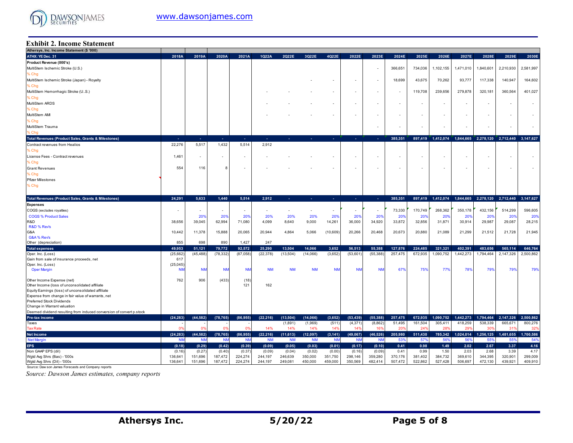

#### **Exhibit 2. Income Statement**

| Athersys, Inc. Income Statement (\$ '000)                            |                    |                          |                    |                    |                |                    |           |                    |                          |                          |                          |                          |                          |                     |                    |                          |                    |
|----------------------------------------------------------------------|--------------------|--------------------------|--------------------|--------------------|----------------|--------------------|-----------|--------------------|--------------------------|--------------------------|--------------------------|--------------------------|--------------------------|---------------------|--------------------|--------------------------|--------------------|
| ATHX: YE Dec. 31                                                     | 2018A              | 2019A                    | 2020A              | 2021A              | 1Q22A          | 2Q22E              | 3Q22E     | 4Q22E              | 2022E                    | 2023E                    | 2024E                    | 2025E                    | 2026E                    | 2027E               | 2028E              | 2029E                    | 2030E              |
| Product Revenue (000's)                                              |                    |                          |                    |                    |                |                    |           |                    |                          |                          |                          |                          |                          |                     |                    |                          |                    |
| MultiStem Ischemic Stroke (U.S.)                                     |                    |                          |                    |                    |                |                    |           |                    |                          |                          | 366,651                  | 734.036                  | 1,102,155                | 1,471,010           | 1,840,601          | 2,210,930                | 2,581,997          |
| % Chg                                                                |                    |                          |                    |                    |                |                    |           |                    |                          |                          |                          |                          |                          |                     |                    |                          |                    |
| MultiStem Ischemic Stroke (Japan) - Royalty                          |                    |                          |                    |                    |                |                    |           |                    |                          |                          | 18,699                   | 43,675                   | 70,262                   | 93,777              | 117,338            | 140,947                  | 164,602            |
| % Chg                                                                |                    |                          |                    |                    |                |                    |           |                    |                          |                          |                          |                          |                          |                     |                    |                          |                    |
|                                                                      |                    |                          |                    |                    |                |                    |           |                    |                          |                          |                          |                          |                          |                     |                    |                          |                    |
| MultiStem Hemorrhagic Stroke (U.S.)                                  |                    |                          |                    |                    |                |                    |           |                    |                          |                          | $\sim$                   | 119,708                  | 239,656                  | 279,878             | 320,181            | 360,564                  | 401,027            |
| % Chg                                                                |                    |                          |                    |                    |                |                    |           |                    |                          |                          |                          |                          |                          |                     |                    |                          |                    |
| MultiStem ARDS                                                       |                    |                          |                    |                    |                |                    |           |                    | $\overline{\phantom{a}}$ |                          | $\overline{\phantom{a}}$ | $\overline{\phantom{a}}$ |                          |                     |                    | $\blacksquare$           |                    |
| % Chg                                                                |                    |                          |                    |                    |                |                    |           |                    |                          |                          |                          |                          |                          |                     |                    |                          |                    |
| MultiStem AMI                                                        |                    |                          |                    |                    |                |                    |           |                    | $\sim$                   | $\overline{\phantom{a}}$ | $\overline{\phantom{a}}$ | $\overline{\phantom{a}}$ | $\overline{\phantom{a}}$ |                     |                    | $\sim$                   |                    |
| % Chg                                                                |                    |                          |                    |                    |                |                    |           |                    |                          |                          |                          |                          |                          |                     |                    |                          |                    |
| MultiStem Trauma                                                     |                    |                          |                    |                    |                |                    |           |                    |                          |                          |                          |                          |                          |                     |                    | $\sim$                   |                    |
| Chg                                                                  |                    |                          |                    |                    |                |                    |           |                    |                          |                          |                          |                          |                          |                     |                    |                          |                    |
| <b>Total Revenues (Product Sales, Grants &amp; Milestones)</b>       | ч.                 | х.                       | .                  | - 1                | ×.             | ÷                  | $\sim$    | $\sim$             | 14                       | real                     | 385,351                  | 897,419                  | 1,412,074                | 1,844,665 2,278,120 |                    | 2,712,440 3,147,627      |                    |
| Contract revenues from Healios                                       | 22,276             | 5,517                    | 1,432              | 5,514              | 2,912          |                    |           |                    |                          |                          |                          |                          |                          |                     |                    |                          |                    |
|                                                                      |                    |                          |                    |                    |                |                    |           |                    |                          |                          |                          |                          |                          |                     |                    |                          |                    |
| % Chg                                                                |                    |                          |                    |                    |                |                    |           |                    |                          |                          |                          |                          |                          |                     |                    |                          |                    |
| License Fees - Contract revenues                                     | 1,461              | $\overline{\phantom{a}}$ | $\sim$             |                    |                |                    |           |                    |                          |                          | $\overline{\phantom{a}}$ | $\overline{\phantom{a}}$ |                          |                     |                    | $\blacksquare$           |                    |
| % Chg                                                                |                    |                          |                    |                    |                |                    |           |                    |                          |                          |                          |                          |                          |                     |                    |                          |                    |
| <b>Grant Revenues</b>                                                | 554                | 116                      | 8                  |                    |                |                    |           |                    | $\sim$                   |                          |                          | $\blacksquare$           |                          | $\blacksquare$      |                    | $\overline{\phantom{a}}$ |                    |
| % Chg                                                                |                    |                          |                    |                    |                |                    |           |                    |                          |                          |                          |                          |                          |                     |                    |                          |                    |
| <b>Pfizer Milestones</b>                                             |                    |                          |                    |                    |                |                    |           |                    |                          |                          |                          |                          |                          |                     |                    |                          |                    |
| % Chg                                                                |                    |                          |                    |                    |                |                    |           |                    |                          |                          |                          |                          |                          |                     |                    |                          |                    |
|                                                                      |                    |                          |                    |                    |                |                    |           |                    |                          |                          |                          |                          |                          |                     |                    |                          |                    |
| <b>Total Revenues (Product Sales, Grants &amp; Milestones)</b>       | 24,291             | 5,633                    | 1,440              | 5,514              | 2,912          | ×.                 |           | . п.               |                          |                          | 385,351                  | 897,419                  | 1,412,074                | 1,844,665           | 2,278,120          | 2,712,440                | 3,147,627          |
|                                                                      |                    |                          |                    |                    |                |                    |           |                    |                          |                          |                          |                          |                          |                     |                    |                          |                    |
| <b>Expenses</b>                                                      |                    |                          |                    |                    |                |                    |           |                    |                          |                          |                          |                          |                          |                     |                    |                          |                    |
| COGS (excludes royalties)                                            |                    | $\sim$                   | $\sim$             | $\blacksquare$     | $\blacksquare$ | $\blacksquare$     | $\sim$    | $\sim$             | $\sim$                   |                          | 73,330                   | 170,749                  | 268,362                  | 350,178             | 432,156            | 514,299                  | 596,605            |
| <b>COGS % Product Sales</b>                                          |                    | 20 <sub>9</sub>          | 20%                | 20%                | 20%            | 20%                | 20%       | 20%                | 20%                      | 20%                      | 209                      | 20%                      | 20%                      | 20%                 | 20%                | 20%                      | 20%                |
| R&D                                                                  | 38,656             | 39,045                   | 62,994             | 71,080             | 4,099          | 8,640              | 9,000     | 14,261             | 36,000                   | 34,920                   | 33,872                   | 32,856                   | 31,871                   | 30,914              | 29,987             | 29,087                   | 28,215             |
| R&D % Rev's                                                          |                    |                          |                    |                    |                |                    |           |                    |                          |                          |                          |                          |                          |                     |                    |                          |                    |
| G&A                                                                  | 10,442             | 11,378                   | 15,888             | 20,065             | 20,944         | 4,864              | 5,066     | (10,609)           | 20,266                   | 20,468                   | 20,673                   | 20,880                   | 21,089                   | 21,299              | 21,512             | 21,728                   | 21,945             |
| G&A% Rev's                                                           |                    |                          |                    |                    |                |                    |           |                    |                          |                          |                          |                          |                          |                     |                    |                          |                    |
| Other (depreciation)                                                 | 855                | 698                      | 890                | 1,427              | 247            |                    |           |                    |                          |                          |                          |                          |                          |                     |                    |                          |                    |
| <b>Total expenses</b>                                                | 49,953             | 51,121                   | 79,772             | 92,572             | 25,290         | 13,504             | 14,066    | 3,652              | 56,513                   | 55,388                   | 127,876                  | 224,485                  | 321,321                  | 402,391             | 483,656            | 565,114                  | 646,764            |
| Oper. Inc. (Loss)                                                    | (25,662)           | (45, 488)                | (78, 332)          | (87,058)           | (22, 378)      | (13,504)           | (14,066)  | (3,652)            | (53,601)                 | (55, 388)                | 257,475                  | 672,935                  | 1,090,752                | 1,442,273           | 1,794,464          | 2,147,326                | 2,500,862          |
| Gain from sale of insurance proceeds, net                            | 617                |                          |                    |                    |                |                    |           |                    |                          |                          |                          |                          |                          |                     |                    |                          |                    |
| Oper. Inc. (Loss)                                                    | (25, 045)          |                          |                    |                    |                |                    |           |                    |                          |                          |                          |                          |                          |                     |                    |                          |                    |
| <b>Oper Margin</b>                                                   | <b>NN</b>          | <b>NM</b>                | <b>NM</b>          | <b>NN</b>          | <b>NM</b>      | <b>NM</b>          | <b>NM</b> | <b>NN</b>          | <b>NM</b>                | <b>NM</b>                | 67%                      | 75%                      | 779                      | 78%                 | 79%                | 79%                      | 79%                |
|                                                                      |                    |                          |                    |                    |                |                    |           |                    |                          |                          |                          |                          |                          |                     |                    |                          |                    |
| Other Income Expense (net)                                           |                    |                          |                    |                    |                |                    |           |                    |                          |                          |                          |                          |                          |                     |                    |                          |                    |
|                                                                      | 762                | 906                      | (433)              | (18)               |                |                    |           |                    |                          |                          |                          |                          |                          |                     |                    |                          |                    |
| Other Income (loss of unconsolidated affiliate                       |                    |                          |                    | 121                | 162            |                    |           |                    |                          |                          |                          |                          |                          |                     |                    |                          |                    |
| Equity Earnings (loss) of unconsolidated affiliate                   |                    |                          |                    |                    |                |                    |           |                    |                          |                          |                          |                          |                          |                     |                    |                          |                    |
| Expense from change in fair value of warrants, net                   |                    |                          |                    |                    |                |                    |           |                    |                          |                          |                          |                          |                          |                     |                    |                          |                    |
| Preferred Stock Dividends                                            |                    |                          |                    |                    |                |                    |           |                    |                          |                          |                          |                          |                          |                     |                    |                          |                    |
| Change in Warrant valuation                                          |                    |                          |                    |                    |                |                    |           |                    |                          |                          |                          |                          |                          |                     |                    |                          |                    |
| Deemed dividend resulting from induced conversion of convert p.stock |                    |                          |                    |                    |                |                    |           |                    |                          |                          |                          |                          |                          |                     |                    |                          |                    |
| Pre-tax income                                                       | (24, 283)          | (44.582)                 | (78, 765)          | (86, 955)          | (22, 216)      | (13,504)           | (14,066)  | (3,652)            | (53, 439)                | (55.388)                 | 257,475                  | 672,935                  | 1,090,752                | 1,442,273           | 1,794,464          | 2,147,326                | 2.500.862          |
| Taxes                                                                |                    |                          |                    |                    |                | (1,891)            | (1,969)   | (511)              | (4, 371)                 | (8,862)                  | 51,495                   | 161,504                  | 305,411                  | 418,259             | 538,339            | 665,671                  | 800,276            |
| <b>Tax Rate</b>                                                      | 0 <sup>9</sup>     | $\Omega$                 | n                  | 0 <sup>9</sup>     | 14%            | 14%                | 14%       | 14%                | 149                      | 16%                      | 20 <sup>o</sup>          | 24 <sup>°</sup>          | 28 <sup>6</sup>          | 29%                 | 309                | 31'                      | 32%                |
| <b>Net Income</b>                                                    | (24.283)           | (44.582)                 | (78, 765)          | (86, 955)          | (22, 216)      | (11,613)           | (12,097)  | (3, 141)           | (49,067)                 | (46.526)                 | 205.980                  | 511,430                  | 785.342                  | 1.024.014           | 1,256,125          | 1,481,655                | 1,700,586          |
| <b>Net Margin</b>                                                    | <b>NN</b>          | <b>NM</b>                | <b>NM</b>          | <b>NM</b>          | <b>NM</b>      | <b>NM</b>          | <b>NM</b> | <b>NM</b>          | <b>NM</b>                | <b>NN</b>                | 53%                      | 579                      | 56%                      | 56%                 | 55%                | 559                      | 549                |
| <b>EPS</b>                                                           | (0.18)             | (0.29)                   | (0.42)             | (0.39)             | (0.09)         | (0.05)             | (0.03)    | (0.01)             | (0.17)                   | (0.10)                   | 0.41                     | 0.98                     | 1.49                     | 2.02                | 2.67               | 3.37                     | 4.16               |
| Non GAAP EPS (dil)                                                   | (0.16)             | (0.27)                   | (0.40)             | (0.37)             | (0.09)         | (0.04)             | (0.02)    | (0.00)             | (0.16)                   | (0.09)                   | 0.41                     | 0.99                     | 1.50                     | 2.03                | 2.68               | 3.39                     | 4.17               |
| Wgtd Avg Shrs (Bas) - '000s<br>Wgtd Avg Shrs (Dil) - '000s           | 136,641<br>136,641 | 151,696<br>151,696       | 187,472<br>187,472 | 224,274<br>224,274 | 244,197        | 246,639<br>249,081 | 350,000   | 351,750<br>459,000 | 298.146<br>350,569       | 359.280<br>482,414       | 370,176<br>507,472       | 381,402<br>522,862       | 384,732<br>527,428       | 369,610<br>506,697  | 344,395<br>472,130 | 320,901<br>439,921       | 299,009<br>409,910 |

Source: Daw son James Forecasts and Company reports

*Source: Dawson James estimates, company reports*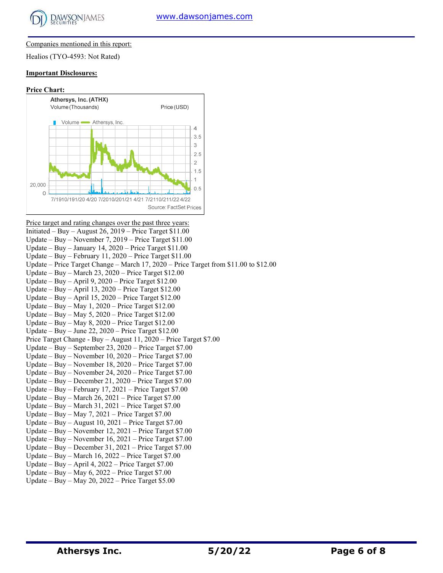

#### Companies mentioned in this report:

Healios (TYO-4593: Not Rated)

#### **Important Disclosures:**

#### **Price Chart:**



Price target and rating changes over the past three years: Initiated – Buy – August 26, 2019 – Price Target \$11.00 Update – Buy – November 7, 2019 – Price Target \$11.00 Update – Buy – January 14, 2020 – Price Target \$11.00 Update – Buy – February 11, 2020 – Price Target \$11.00 Update – Price Target Change – March 17, 2020 – Price Target from \$11.00 to \$12.00 Update – Buy – March 23, 2020 – Price Target \$12.00 Update – Buy – April 9, 2020 – Price Target \$12.00 Update – Buy – April 13, 2020 – Price Target \$12.00 Update – Buy – April 15, 2020 – Price Target \$12.00 Update – Buy – May 1, 2020 – Price Target \$12.00 Update – Buy – May 5, 2020 – Price Target \$12.00 Update – Buy – May 8, 2020 – Price Target \$12.00 Update – Buy – June 22, 2020 – Price Target \$12.00 Price Target Change - Buy – August 11, 2020 – Price Target \$7.00 Update – Buy – September 23, 2020 – Price Target \$7.00 Update – Buy – November 10, 2020 – Price Target \$7.00 Update – Buy – November 18, 2020 – Price Target \$7.00 Update – Buy – November 24, 2020 – Price Target \$7.00 Update – Buy – December 21, 2020 – Price Target \$7.00 Update – Buy – February 17, 2021 – Price Target \$7.00 Update – Buy – March 26, 2021 – Price Target \$7.00 Update – Buy – March 31, 2021 – Price Target \$7.00 Update – Buy – May 7, 2021 – Price Target \$7.00 Update – Buy – August 10, 2021 – Price Target \$7.00 Update – Buy – November 12, 2021 – Price Target \$7.00 Update – Buy – November 16, 2021 – Price Target \$7.00 Update – Buy – December 31, 2021 – Price Target \$7.00 Update – Buy – March 16, 2022 – Price Target \$7.00 Update – Buy – April 4, 2022 – Price Target \$7.00 Update – Buy – May 6, 2022 – Price Target \$7.00 Update – Buy – May 20, 2022 – Price Target \$5.00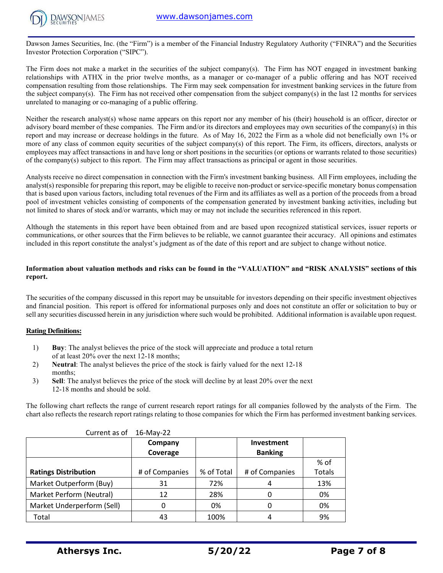

Dawson James Securities, Inc. (the "Firm") is a member of the Financial Industry Regulatory Authority ("FINRA") and the Securities Investor Protection Corporation ("SIPC").

The Firm does not make a market in the securities of the subject company(s). The Firm has NOT engaged in investment banking relationships with ATHX in the prior twelve months, as a manager or co-manager of a public offering and has NOT received compensation resulting from those relationships. The Firm may seek compensation for investment banking services in the future from the subject company(s). The Firm has not received other compensation from the subject company(s) in the last 12 months for services unrelated to managing or co-managing of a public offering.

Neither the research analyst(s) whose name appears on this report nor any member of his (their) household is an officer, director or advisory board member of these companies. The Firm and/or its directors and employees may own securities of the company(s) in this report and may increase or decrease holdings in the future. As of May 16, 2022 the Firm as a whole did not beneficially own 1% or more of any class of common equity securities of the subject company(s) of this report. The Firm, its officers, directors, analysts or employees may affect transactions in and have long or short positions in the securities (or options or warrants related to those securities) of the company(s) subject to this report. The Firm may affect transactions as principal or agent in those securities.

Analysts receive no direct compensation in connection with the Firm's investment banking business. All Firm employees, including the analyst(s) responsible for preparing this report, may be eligible to receive non-product or service-specific monetary bonus compensation that is based upon various factors, including total revenues of the Firm and its affiliates as well as a portion of the proceeds from a broad pool of investment vehicles consisting of components of the compensation generated by investment banking activities, including but not limited to shares of stock and/or warrants, which may or may not include the securities referenced in this report.

Although the statements in this report have been obtained from and are based upon recognized statistical services, issuer reports or communications, or other sources that the Firm believes to be reliable, we cannot guarantee their accuracy. All opinions and estimates included in this report constitute the analyst's judgment as of the date of this report and are subject to change without notice.

## **Information about valuation methods and risks can be found in the "VALUATION" and "RISK ANALYSIS" sections of this report.**

The securities of the company discussed in this report may be unsuitable for investors depending on their specific investment objectives and financial position. This report is offered for informational purposes only and does not constitute an offer or solicitation to buy or sell any securities discussed herein in any jurisdiction where such would be prohibited. Additional information is available upon request.

### **Rating Definitions:**

- 1) **Buy**: The analyst believes the price of the stock will appreciate and produce a total return of at least 20% over the next 12-18 months;
- 2) **Neutral**: The analyst believes the price of the stock is fairly valued for the next 12-18 months;
- 3) **Sell**: The analyst believes the price of the stock will decline by at least 20% over the next 12-18 months and should be sold.

The following chart reflects the range of current research report ratings for all companies followed by the analysts of the Firm. The chart also reflects the research report ratings relating to those companies for which the Firm has performed investment banking services.

| Current as of               | 16-May-22      |            |                   |               |
|-----------------------------|----------------|------------|-------------------|---------------|
|                             | Company        |            | <b>Investment</b> |               |
|                             | Coverage       |            | <b>Banking</b>    |               |
|                             |                |            |                   | % of          |
| <b>Ratings Distribution</b> | # of Companies | % of Total | # of Companies    | <b>Totals</b> |
| Market Outperform (Buy)     | 31             | 72%        | 4                 | 13%           |
| Market Perform (Neutral)    | 12             | 28%        |                   | 0%            |
| Market Underperform (Sell)  | 0              | 0%         |                   | 0%            |
| Total                       | 43             | 100%       | 4                 | 9%            |